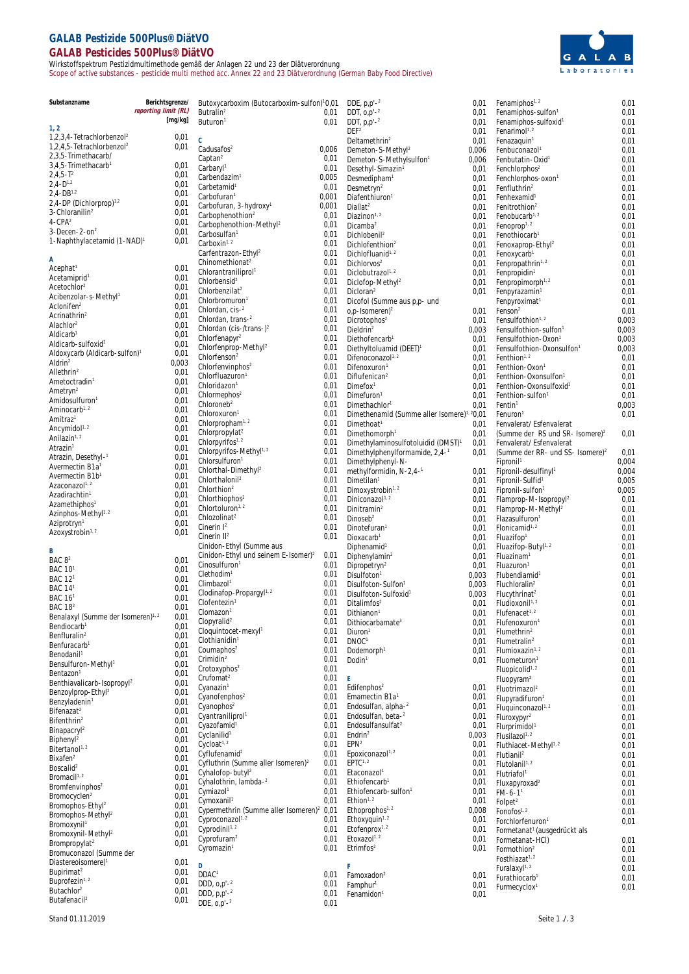## **GALAB Pestizide 500Plus® DiätVO GALAB Pesticides 500Plus® DiätVO**

Wirkstoffspektrum Pestizidmultimethode gemäß der Anlagen 22 und 23 der Diätverordnung Scope of active substances - pesticide multi method acc. Annex 22 and 23 Diätverordnung (German Baby Food Directive)



| Substanzname                                             | Berichtsgrenze/      | Butoxycarboxim (Butocarboxim-sulfon)10,01                                       |              | DDE, $p.p' -2$                                             | 0,01           | Fenamiphos <sup>1, 2</sup>                                               | 0,01           |
|----------------------------------------------------------|----------------------|---------------------------------------------------------------------------------|--------------|------------------------------------------------------------|----------------|--------------------------------------------------------------------------|----------------|
|                                                          | reporting limit (RL) | Butralin <sup>2</sup>                                                           | 0,01         | DDT, $0, p' - 2$                                           | 0,01           | Fenamiphos-sulfon <sup>1</sup>                                           | 0,01           |
| 1, 2                                                     | [mg/kg]              | Buturon <sup>1</sup>                                                            | 0,01         | DDT, $p.p' -2$                                             | 0,01           | Fenamiphos-sulfoxid <sup>1</sup>                                         | 0,01           |
| $1,2,3,4$ -Tetrachlorbenzol <sup>2</sup>                 | 0,01                 | $\mathcal{C}$                                                                   |              | DEF <sup>2</sup>                                           | 0,01           | Fenarimol $1.2$                                                          | 0,01           |
| 1,2,4,5-Tetrachlorbenzol <sup>2</sup>                    | 0,01                 | Cadusafos <sup>2</sup>                                                          | 0,006        | Deltamethrin <sup>2</sup><br>Demeton-S-Methyl <sup>2</sup> | 0,01<br>0,006  | Fenazaquin <sup>1</sup><br>Fenbuconazol                                  | 0,01<br>0,01   |
| 2.3.5-Trimethacarb/                                      |                      | Captan <sup>2</sup>                                                             | 0,01         | Demeton-S-Methylsulfon <sup>1</sup>                        | 0,006          | Fenbutatin-Oxid <sup>1</sup>                                             | 0,01           |
| 3.4.5-Trimethacarb <sup>1</sup>                          | 0,01                 | Carbaryl <sup>1</sup>                                                           | 0,01         | Desethyl-Simazin <sup>1</sup>                              | 0,01           | Fenchlorphos <sup>2</sup>                                                | 0,01           |
| $2,4,5 - T^2$                                            | 0,01                 | Carbendazim <sup>1</sup>                                                        | 0,005        | Desmedipham <sup>1</sup>                                   | 0,01           | Fenchlorphos-oxon <sup>1</sup>                                           | 0,01           |
| $2,4-D^{1,2}$                                            | 0,01                 | Carbetamid <sup>1</sup>                                                         | 0,01         | Desmetryn <sup>2</sup>                                     | 0,01           | Fenfluthrin <sup>2</sup>                                                 | 0,01           |
| $2,4-DB^{1,2}$<br>$2,4$ -DP (Dichlorprop) <sup>1,2</sup> | 0,01<br>0,01         | Carbofuran <sup>1</sup>                                                         | 0,001        | Diafenthiuron <sup>1</sup>                                 | 0,01           | Fenhexamid <sup>1</sup>                                                  | 0,01           |
| 3-Chloranilin <sup>2</sup>                               | 0,01                 | Carbofuran, 3-hydroxy <sup>1</sup>                                              | 0,001        | Diallat <sup>2</sup>                                       | 0,01           | Fenitrothion <sup>2</sup>                                                | 0,01           |
| $4 - CPA2$                                               | 0,01                 | Carbophenothion <sup>2</sup>                                                    | 0,01         | Diazinon <sup>1, 2</sup>                                   | 0,01           | Fenobucarb <sup>1, 2</sup>                                               | 0,01           |
| $3 - Decen - 2 - on2$                                    | 0,01                 | Carbophenothion-Methyl <sup>2</sup><br>Carbosulfan <sup>1</sup>                 | 0,01<br>0,01 | Dicamba <sup>2</sup>                                       | 0,01           | Fenoprop <sup>1, 2</sup>                                                 | 0,01           |
| 1-Naphthylacetamid (1-NAD) <sup>1</sup>                  | 0,01                 | Carboxin <sup>1, 2</sup>                                                        | 0,01         | Dichlobenil <sup>2</sup><br>Dichlofenthion <sup>2</sup>    | 0,01<br>0,01   | Fenothiocarb <sup>1</sup><br>Fenoxaprop-Ethyl <sup>2</sup>               | 0,01<br>0,01   |
|                                                          |                      | Carfentrazon-Ethyl <sup>2</sup>                                                 | 0,01         | Dichlofluanid <sup>1, 2</sup>                              | 0,01           | Fenoxycarb                                                               | 0,01           |
| A                                                        |                      | Chinomethionat <sup>2</sup>                                                     | 0,01         | Dichlorvos <sup>2</sup>                                    | 0,01           | Fenpropathrin <sup>1, 2</sup>                                            | 0,01           |
| Acceptat <sup>1</sup>                                    | 0,01                 | Chlorantraniliprol <sup>1</sup>                                                 | 0,01         | Diclobutrazol <sup>1, 2</sup>                              | 0,01           | Fenpropidin <sup>1</sup>                                                 | 0,01           |
| Acetamiprid                                              | 0,01                 | Chlorbensid <sup>2</sup>                                                        | 0,01         | Diclofop-Methyl <sup>2</sup>                               | 0,01           | Fenpropimorph <sup>1, 2</sup>                                            | 0,01           |
| Acetochlor <sup>2</sup><br>Acibenzolar-s-Methyl          | 0,01<br>0,01         | Chlorbenzilat <sup>2</sup>                                                      | 0,01         | Dicloran <sup>2</sup>                                      | 0,01           | Fenpyrazamin                                                             | 0,01           |
| Aclonifen <sup>2</sup>                                   | 0,01                 | Chlorbromuron <sup>1</sup>                                                      | 0,01         | Dicofol (Summe aus p,p- und                                |                | Fenpyroximat <sup>1</sup>                                                | 0,01           |
| Acrinathrin <sup>2</sup>                                 | 0,01                 | Chlordan, cis-2                                                                 | 0,01         | o,p-Isomeren) <sup>2</sup>                                 |                | $0,01$ Fenson <sup>2</sup>                                               | 0,01           |
| Alachlor <sup>2</sup>                                    | 0,01                 | Chlordan, trans-2                                                               | 0,01         | Dicrotophos <sup>2</sup>                                   | 0,01           | Fensulfothion <sup>1, 2</sup>                                            | 0,003          |
| Aldicarb <sup>1</sup>                                    | 0,01                 | Chlordan (cis-/trans-) $^{2}$<br>Chlorfenapyr <sup>2</sup>                      | 0,01<br>0,01 | Dieldrin <sup>2</sup><br>Diethofencarb <sup>1</sup>        | 0,003          | Fensulfothion-sulfon <sup>1</sup>                                        | 0,003<br>0,003 |
| Aldicarb-sulfoxid <sup>1</sup>                           | 0,01                 | Chlorfenprop-Methyl <sup>2</sup>                                                | 0,01         | Diethyltoluamid (DEET) <sup>1</sup>                        | 0,01<br>0,01   | Fensulfothion-Oxon <sup>1</sup><br>Fensulfothion-Oxonsulfon <sup>1</sup> | 0,003          |
| Aldoxycarb (Aldicarb-sulfon) <sup>1</sup>                | 0,01                 | Chlorfenson <sup>2</sup>                                                        | 0,01         | Difenoconazol <sup>1, 2</sup>                              | 0,01           | Fenthion <sup>1, 2</sup>                                                 | 0,01           |
| Aldrin <sup>2</sup>                                      | 0,003                | Chlorfenvinphos <sup>2</sup>                                                    | 0,01         | Difenoxuron <sup>1</sup>                                   | 0,01           | Fenthion-Oxon <sup>1</sup>                                               | 0,01           |
| Allethrin <sup>2</sup>                                   | 0,01                 | Chlorfluazuron <sup>1</sup>                                                     | 0,01         | Diflufenican <sup>2</sup>                                  | 0,01           | Fenthion-Oxonsulfon <sup>1</sup>                                         | 0,01           |
| Ametoctradin <sup>1</sup>                                | 0,01                 | Chloridazon <sup>1</sup>                                                        | 0,01         | Dimefox <sup>1</sup>                                       | 0,01           | Fenthion-Oxonsulfoxid <sup>1</sup>                                       | 0,01           |
| Ametryn <sup>2</sup>                                     | 0,01                 | Chlormephos <sup>2</sup>                                                        | 0,01         | Dimefuron <sup>1</sup>                                     | 0,01           | Fenthion-sulfon <sup>1</sup>                                             | 0,01           |
| Amidosulfuron <sup>1</sup>                               | 0,01                 | Chloroneb <sup>2</sup>                                                          | 0,01         | Dimethachlor <sup>1</sup>                                  | 0,01           | Fentin <sup>1</sup>                                                      | 0,003          |
| Aminocarb <sup>1, 2</sup><br>Amitraz <sup>1</sup>        | 0,01                 | Chloroxuron <sup>1</sup>                                                        | 0,01         | Dimethenamid (Summe aller Isomere) <sup>1, 2</sup> 0,01    |                | Fenuron <sup>1</sup>                                                     | 0,01           |
| Ancymidol <sup>1, 2</sup>                                | 0,01<br>0,01         | Chlorpropham <sup>1, 2</sup>                                                    | 0,01         | Dimethoat <sup>1</sup>                                     | 0,01           | Fenvalerat/ Esfenvalerat                                                 |                |
| Anilazin <sup>1, 2</sup>                                 | 0,01                 | Chlorpropylat <sup>2</sup>                                                      | 0,01         | Dimethomorph <sup>1</sup>                                  | 0,01           | (Summe der RS und SR- Isomere) <sup>2</sup>                              | 0,01           |
| Atrazin <sup>1</sup>                                     | 0,01                 | Chlorpyrifos <sup>1, 2</sup>                                                    | 0,01         | Dimethylaminosulfotoluidid (DMST) <sup>1</sup>             | 0,01           | Fenvalerat/ Esfenvalerat                                                 |                |
| Atrazin, Desethyl-1                                      | 0,01                 | Chlorpyrifos-Methyl <sup>1, 2</sup>                                             | 0,01         | Dimethylphenylformamide, 2,4-1                             | 0.01           | (Summe der RR- und SS- Isomere) <sup>2</sup>                             | 0,01           |
| Avermectin B1a                                           | 0,01                 | Chlorsulfuron <sup>1</sup><br>Chlorthal-Dimethyl <sup>2</sup>                   | 0,01<br>0,01 | Dimethylphenyl-N-                                          |                | Fipronil <sup>1</sup>                                                    | 0,004<br>0,004 |
| Avermectin B1b <sup>1</sup>                              | 0,01                 | Chlorthalonil <sup>2</sup>                                                      | 0,01         | methylformidin, N-2,4-1<br>Dimetilan <sup>1</sup>          | 0,01<br>0,01   | Fipronil-desulfinyl <sup>1</sup><br>Fipronil-Sulfid <sup>1</sup>         | 0,005          |
| Azaconazol <sup>1, 2</sup>                               | 0,01                 | Chlorthion <sup>2</sup>                                                         | 0,01         | Dimoxystrobin <sup>1, 2</sup>                              | 0,01           | Fipronil-sulfon <sup>1</sup>                                             | 0,005          |
| Azadirachtin <sup>1</sup>                                | 0,01                 | Chlorthiophos <sup>2</sup>                                                      | 0,01         | Diniconazol <sup>1, 2</sup>                                | 0,01           | Flamprop-M-Isopropyl <sup>2</sup>                                        | 0,01           |
| Azamethiphos <sup>1</sup>                                | 0,01                 | Chlortoluron <sup>1, 2</sup>                                                    | 0,01         | Dinitramin <sup>2</sup>                                    | 0,01           | Flamprop-M-Methyl <sup>2</sup>                                           | 0,01           |
| Azinphos-Methyl <sup>1, 2</sup>                          | 0,01                 | Chlozolinat <sup>2</sup>                                                        | 0,01         | Dinoseb <sup>2</sup>                                       | 0,01           | Flazasulfuron <sup>1</sup>                                               | 0,01           |
| Aziprotryn <sup>1</sup>                                  | 0,01                 | Cinerin $I2$                                                                    | 0,01         | Dinotefuran <sup>1</sup>                                   | 0,01           | Flonicamid <sup>1, 2</sup>                                               | 0,01           |
| Azoxystrobin <sup>1, 2</sup>                             | 0,01                 | Cinerin II <sup>2</sup>                                                         | 0,01         | Dioxacarb <sup>1</sup>                                     | 0,01           | Fluazifop <sup>1</sup>                                                   | 0,01           |
| B                                                        |                      | Cinidon-Ethyl (Summe aus                                                        |              | Diphenamid <sup>1</sup>                                    | 0,01           | Fluazifop-Butyl <sup>1, 2</sup>                                          | 0,01           |
| BAC 8 <sup>2</sup>                                       | 0,01                 | Cinidon-Ethyl und seinem E-Isomer) <sup>2</sup>                                 | 0,01         | Diphenylamin <sup>2</sup>                                  | 0,01           | Fluazinam <sup>1</sup>                                                   | 0,01           |
| BAC 10 <sup>1</sup>                                      | 0,01                 | Cinosulfuron <sup>1</sup>                                                       | 0,01         | Dipropetryn <sup>2</sup>                                   | 0,01           | Fluazuron <sup>1</sup>                                                   | 0,01           |
| BAC 12 <sup>1</sup>                                      | 0,01                 | Clethodim <sup>1</sup><br>Climbazol <sup>1</sup>                                | 0,01<br>0,01 | Disulfoton <sup>1</sup>                                    | 0,003          | Flubendiamid <sup>1</sup>                                                | 0,01           |
| <b>BAC 141</b>                                           | 0,01                 | Clodinafop-Propargyl <sup>1, 2</sup>                                            | 0,01         | Disulfoton-Sulfon1<br>Disulfoton-Sulfoxid <sup>1</sup>     | 0,003<br>0,003 | Fluchloralin <sup>2</sup>                                                | 0,01<br>0,01   |
| BAC 16 <sup>1</sup>                                      | 0,01                 | Clofentezin <sup>1</sup>                                                        | 0,01         | Ditalimfos <sup>2</sup>                                    | 0,01           | Flucythrinat <sup>2</sup><br>Fludioxonil <sup>1, 2</sup>                 | 0,01           |
| <b>BAC 18<sup>2</sup></b>                                | 0,01                 | Clomazon <sup>1</sup>                                                           | 0,01         | Dithianon                                                  | 0,01           | Flufenacet <sup>1, 2</sup>                                               | 0,01           |
| Benalaxyl (Summe der Isomeren) <sup>1, 2</sup>           | 0,01                 | Clopyralid <sup>2</sup>                                                         | 0,01         | Dithiocarbamate <sup>3</sup>                               | 0,01           | Flufenoxuron <sup>1</sup>                                                | 0,01           |
| Bendiocarb <sup>1</sup>                                  | 0,01                 | Cloquintocet-mexyl1                                                             | 0,01         | Diuron <sup>1</sup>                                        | 0,01           | Flumethrin <sup>2</sup>                                                  | 0,01           |
| Benfluralin <sup>2</sup><br>Benfuracarb <sup>1</sup>     | 0,01<br>0,01         | Clothianidin <sup>1</sup>                                                       | 0,01         | DNOC <sup>1</sup>                                          | 0,01           | Flumetralin <sup>2</sup>                                                 | 0,01           |
| Benodanil <sup>1</sup>                                   | 0,01                 | Coumaphos $2$                                                                   | 0,01         | Dodemorph <sup>1</sup>                                     | 0,01           | Flumioxazin <sup>1, 2</sup>                                              | 0,01           |
| Bensulfuron-Methyl <sup>1</sup>                          | 0,01                 | Crimidin <sup>2</sup>                                                           | 0,01         | Dodin <sup>1</sup>                                         | 0,01           | Fluometuron <sup>1</sup>                                                 | 0,01           |
| Bentazon <sup>1</sup>                                    | 0,01                 | Crotoxyphos <sup>2</sup>                                                        | 0,01         |                                                            |                | Fluopicolid <sup>1, 2</sup>                                              | 0,01           |
| Benthiavalicarb-Isopropyl <sup>2</sup>                   | 0,01                 | Crufomat <sup>2</sup>                                                           | 0,01         | Ε<br>Edifenphos <sup>2</sup>                               |                | Fluopyram <sup>2</sup>                                                   | 0,01           |
| Benzoylprop-Ethyl <sup>2</sup>                           | 0,01                 | Cyanazin <sup>1</sup><br>Cyanofenphos <sup>2</sup>                              | 0,01<br>0,01 | Emamectin B1a <sup>1</sup>                                 | 0,01<br>0,01   | Fluotrimazol <sup>2</sup>                                                | 0,01           |
| Benzyladenin <sup>1</sup>                                | 0,01                 | Cyanophos <sup>2</sup>                                                          | 0,01         | Endosulfan, alpha- <sup>2</sup>                            | 0,01           | Flupyradifuron <sup>1</sup><br>Fluquinconazol <sup>1, 2</sup>            | 0,01<br>0,01   |
| Bifenazat <sup>2</sup>                                   | 0,01                 | Cyantraniliprol <sup>1</sup>                                                    | 0,01         | Endosulfan, beta- <sup>2</sup>                             | 0,01           | Fluroxypyr <sup>2</sup>                                                  | 0,01           |
| Bifenthrin <sup>2</sup>                                  | 0,01                 | Cyazofamid <sup>1</sup>                                                         | 0,01         | Endosulfansulfat <sup>2</sup>                              | 0,01           | Flurprimidol <sup>1</sup>                                                | 0,01           |
| Binapacry <sup>2</sup>                                   | 0,01                 | Cyclanilid <sup>1</sup>                                                         | 0,01         | Endrin <sup>2</sup>                                        | 0,003          | Flusilazol <sup>1, 2</sup>                                               | 0,01           |
| Biphenyl <sup>2</sup><br>Bitertanol <sup>1, 2</sup>      | 0,01<br>0,01         | Cycloat <sup>1, 2</sup>                                                         | 0,01         | EPN <sup>2</sup>                                           | 0,01           | Fluthiacet-Methyl <sup>1, 2</sup>                                        | 0,01           |
| Bixafen <sup>2</sup>                                     | 0,01                 | Cyflufenamid <sup>2</sup>                                                       | 0,01         | Epoxiconazol <sup>1, 2</sup>                               | 0,01           | Flutianil <sup>2</sup>                                                   | 0,01           |
| Boscalid <sup>2</sup>                                    | 0,01                 | Cyfluthrin (Summe aller Isomeren) <sup>2</sup>                                  | 0,01         | EPTC <sup>1, 2</sup>                                       | 0,01           | Flutolanil <sup>1, 2</sup>                                               | 0,01           |
| Bromacil <sup>1, 2</sup>                                 | 0,01                 | Cyhalofop-butyl <sup>2</sup>                                                    | 0,01         | Etaconazol <sup>1</sup>                                    | 0,01           | Flutriafol <sup>1</sup>                                                  | 0,01           |
| Bromfenvinphos <sup>2</sup>                              | 0,01                 | Cyhalothrin, lambda- <sup>2</sup>                                               | 0,01         | Ethiofencarb <sup>1</sup>                                  | 0,01           | $Flux$ apyroxad <sup>2</sup>                                             | 0,01           |
| Bromocyclen <sup>2</sup>                                 | 0,01                 | Cymiazol <sup>1</sup>                                                           | 0,01<br>0,01 | Ethiofencarb-sulfon <sup>1</sup><br>Ethion <sup>1, 2</sup> | 0,01           | $FM-6-1$ <sup>1</sup>                                                    | 0,01           |
| Bromophos-Ethyl <sup>2</sup>                             | 0,01                 | Cymoxanil <sup>1</sup><br>Cypermethrin (Summe aller Isomeren) <sup>2</sup> 0,01 |              | Ethoprophos <sup>1, 2</sup>                                | 0,01<br>0,008  | Folpet <sup>2</sup>                                                      | 0,01           |
| Bromophos-Methyl <sup>2</sup>                            | 0,01                 | Cyproconazol <sup>1, 2</sup>                                                    | 0,01         | Ethoxyquin <sup>1, 2</sup>                                 | 0,01           | Fonofos <sup>1, 2</sup>                                                  | 0,01<br>0,01   |
| Bromoxynil <sup>1</sup>                                  | 0,01                 | Cyprodinil <sup>1, 2</sup>                                                      | 0,01         | Etofenprox <sup>1, 2</sup>                                 | 0,01           | Forchlorfenuron <sup>1</sup><br>Formetanat <sup>1</sup> (ausgedrückt als |                |
| Bromoxynil-Methyl <sup>2</sup>                           | 0,01                 | Cyprofuram <sup>2</sup>                                                         | 0,01         | Etoxazol <sup>1, 2</sup>                                   | 0,01           | Formetanat-HCI)                                                          | 0,01           |
| Brompropylat <sup>2</sup>                                | 0,01                 | Cyromazin <sup>1</sup>                                                          | 0,01         | $E$ trimfos <sup>2</sup>                                   | 0,01           | Formothion <sup>2</sup>                                                  | 0,01           |
| Bromuconazol (Summe der                                  |                      |                                                                                 |              |                                                            |                | Fosthiazat <sup>1, 2</sup>                                               | 0,01           |
| Diastereoisomere) <sup>1</sup><br>Bupirimat <sup>2</sup> | 0,01<br>0,01         | D                                                                               |              | F                                                          |                | Furalaxyl <sup>1, 2</sup>                                                | 0,01           |
| Buprofezin <sup>1, 2</sup>                               | 0,01                 | DDAC <sup>1</sup>                                                               | 0,01         | Famoxadon <sup>2</sup>                                     | 0,01           | Furathiocarb                                                             | 0,01           |
| Butachlor <sup>2</sup>                                   | 0,01                 | DDD, $O_p^2$ -2<br>DDD, $p, p' - 2$                                             | 0,01         | Famphur <sup>1</sup>                                       | 0,01           | Furmecyclox <sup>1</sup>                                                 | 0,01           |
| Butafenacil <sup>2</sup>                                 | 0,01                 | DDE, $O_p^2$ -2                                                                 | 0,01<br>0,01 | Fenamidon <sup>1</sup>                                     | 0,01           |                                                                          |                |
|                                                          |                      |                                                                                 |              |                                                            |                |                                                                          |                |

Stand 01.11.2019 Seite 1 ./. 3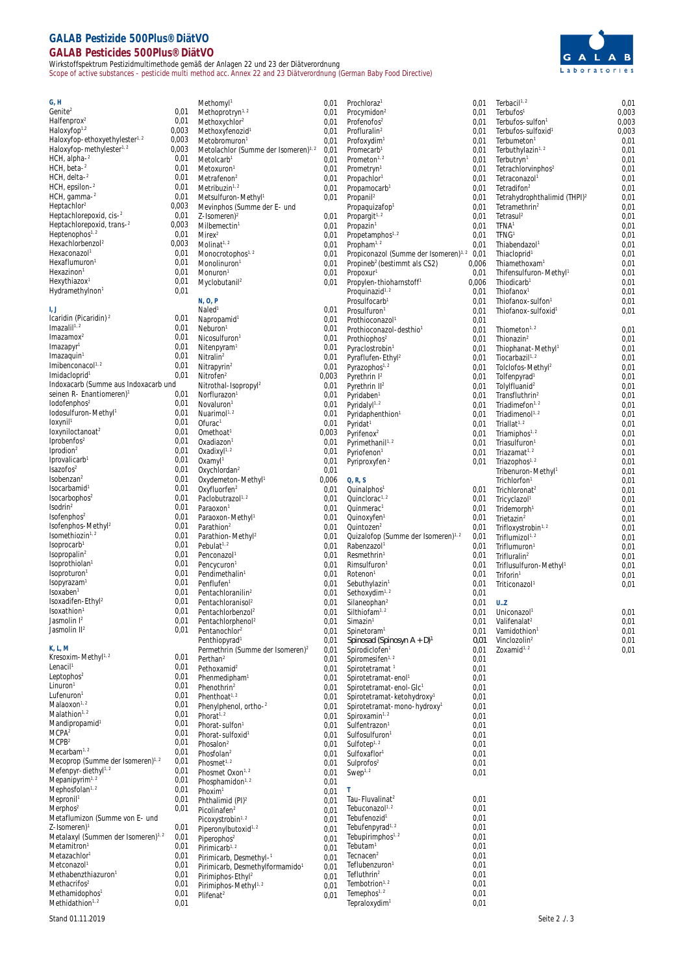## **GALAB Pestizide 500Plus® DiätVO GALAB Pesticides 500Plus® DiätVO**

Wirkstoffspektrum Pestizidmultimethode gemäß der Anlagen 22 und 23 der Diätverordnung Scope of active substances - pesticide multi method acc. Annex 22 and 23 Diätverordnung (German Baby Food Directive)



| G, H                                                            |       | Methomyl <sup>1</sup>                            | 0,01  | Prochloraz <sup>1</sup>                                | 0,01  | Terbacil <sup>1, 2</sup>                 | 0,01  |
|-----------------------------------------------------------------|-------|--------------------------------------------------|-------|--------------------------------------------------------|-------|------------------------------------------|-------|
| Genite <sup>2</sup>                                             | 0,01  | Methoprotryn <sup>1, 2</sup>                     | 0,01  | Procymidon <sup>2</sup>                                | 0,01  | Terbufos <sup>1</sup>                    | 0,003 |
| Halfenprox <sup>2</sup>                                         | 0,01  | Methoxychlor <sup>2</sup>                        | 0,01  | Profenofos <sup>2</sup>                                | 0,01  | Terbufos-sulfon <sup>1</sup>             | 0,003 |
| Haloxyfop <sup>1,2</sup>                                        | 0,003 | Methoxyfenozid                                   | 0,01  | Profluralin <sup>2</sup>                               | 0,01  | Terbufos-sulfoxid <sup>1</sup>           | 0,003 |
| Haloxyfop-ethoxyethylester <sup>1, 2</sup>                      | 0,003 | Metobromuron <sup>1</sup>                        | 0,01  | Profoxydim                                             | 0,01  | Terbumeton <sup>1</sup>                  | 0,01  |
| Haloxyfop-methylester <sup>1, 2</sup>                           | 0,003 | Metolachlor (Summe der Isomeren) <sup>1, 2</sup> | 0,01  | Promecarb <sup>1</sup>                                 | 0,01  | Terbuthylazin <sup>1, 2</sup>            | 0,01  |
| $HCH$ , alpha $-2$                                              | 0,01  | Metolcarb <sup>1</sup>                           | 0,01  | Prometon <sup>1, 2</sup>                               | 0,01  | Terbutryn <sup>1</sup>                   | 0,01  |
| $HCH$ , beta- $2$                                               | 0,01  | Metoxuron <sup>1</sup>                           | 0,01  | Prometryn <sup>1</sup>                                 | 0,01  | Tetrachlorvinphos <sup>2</sup>           | 0,01  |
| $HCH$ , delta- $2$                                              | 0,01  | Metrafenon <sup>2</sup>                          | 0,01  | Propachlor <sup>1</sup>                                | 0,01  | Tetraconazol                             | 0,01  |
| $HCH$ , epsilon- $2$                                            | 0,01  | Metribuzin <sup>1, 2</sup>                       | 0,01  | Propamocarb <sup>1</sup>                               | 0,01  | Tetradifon <sup>2</sup>                  | 0,01  |
| $HCH$ , gamma- $2$                                              | 0,01  | Metsulfuron-Methyl <sup>1</sup>                  | 0,01  | Propanil <sup>2</sup>                                  | 0,01  | Tetrahydrophthalimid (THPI) <sup>2</sup> | 0,01  |
| Heptachlor <sup>2</sup>                                         | 0,003 | Mevinphos (Summe der E- und                      |       | Propaquizafop <sup>1</sup>                             | 0,01  | Tetramethrin <sup>2</sup>                | 0,01  |
| Heptachlorepoxid, cis-2                                         | 0,01  | $Z$ -Isomeren) <sup>2</sup>                      | 0,01  | Propargit <sup><math>1, 2</math></sup>                 | 0,01  | Tetrasul <sup>2</sup>                    | 0,01  |
| Heptachlorepoxid, trans-2                                       | 0,003 | Milbemectin <sup>1</sup>                         | 0,01  | Propazin <sup>1</sup>                                  | 0,01  | TFNA <sup>1</sup>                        | 0,01  |
| Heptenophos <sup>1, 2</sup>                                     | 0,01  | Mirex <sup>2</sup>                               | 0,01  | Propetamphos <sup>1, 2</sup>                           | 0,01  | TFNG <sup>1</sup>                        | 0,01  |
| Hexachlorbenzol <sup>2</sup>                                    | 0,003 | Molinat <sup>1, 2</sup>                          | 0,01  | Propham <sup>1, 2</sup>                                | 0,01  | Thiabendazol <sup>1</sup>                | 0,01  |
| Hexaconazol <sup>1</sup>                                        | 0,01  | Monocrotophos <sup>1, 2</sup>                    | 0,01  | Propiconazol (Summe der Isomeren) <sup>1, 2</sup> 0,01 |       | Thiacloprid                              | 0,01  |
| Hexaflumuron <sup>1</sup>                                       | 0,01  | Monolinuron <sup>1</sup>                         | 0,01  | Propineb <sup>2</sup> (bestimmt als CS2)               | 0,006 | Thiamethoxam <sup>1</sup>                | 0,01  |
| Hexazinon <sup>1</sup>                                          | 0,01  | Monuron <sup>1</sup>                             | 0,01  | Propoxur <sup>1</sup>                                  | 0,01  | Thifensulfuron-Methyl <sup>1</sup>       | 0,01  |
| Hexythiazox <sup>1</sup>                                        | 0,01  | Myclobutanil <sup>2</sup>                        | 0,01  | Propylen-thioharnstoff <sup>1</sup>                    | 0,006 | Thiodicarb <sup>1</sup>                  | 0,01  |
| Hydramethylnon <sup>1</sup>                                     | 0,01  |                                                  |       | Proquinazid <sup>1, 2</sup>                            | 0,01  | Thiofanox <sup>1</sup>                   | 0,01  |
|                                                                 |       | N, O, P                                          |       | Prosulfocarb <sup>1</sup>                              | 0,01  | Thiofanox-sulfon <sup>1</sup>            | 0,01  |
|                                                                 |       | Naled <sup>1</sup>                               | 0,01  | Prosulfuron <sup>®</sup>                               | 0,01  | Thiofanox-sulfoxid <sup>1</sup>          | 0,01  |
| Icaridin (Picaridin) <sup>2</sup>                               | 0,01  | Napropamid <sup>1</sup>                          | 0,01  | Prothioconazol <sup>®</sup>                            | 0,01  |                                          |       |
| Imazalil <sup>1,2</sup>                                         | 0,01  | Neburon <sup>1</sup>                             | 0,01  | Prothioconazol-desthio                                 | 0,01  | Thiometon <sup>1, 2</sup>                | 0,01  |
| Imazamos <sup>2</sup>                                           | 0,01  | Nicosulfuron <sup>1</sup>                        | 0,01  | Prothiophos <sup>2</sup>                               | 0,01  | Thionazin <sup>2</sup>                   | 0,01  |
| Imazapyr                                                        | 0,01  | Nitenpyram <sup>1</sup>                          | 0,01  | Pyraclostrobin <sup>1</sup>                            | 0,01  | Thiophanat-Methyl <sup>1</sup>           | 0,01  |
| Imazaquin                                                       | 0,01  | $N$ itralin <sup>2</sup>                         | 0,01  |                                                        |       |                                          |       |
| Imibenconacol $1, 2$                                            | 0,01  | Nitrapyrin <sup>2</sup>                          |       | Pyraflufen-Ethyl <sup>2</sup>                          | 0,01  | Tiocarbazil <sup>1, 2</sup>              | 0,01  |
| Imidacloprid                                                    | 0,01  | Nitrofen <sup>2</sup>                            | 0,01  | Pyrazophos <sup>1, 2</sup>                             | 0,01  | Tolclofos-Methyl <sup>2</sup>            | 0,01  |
| Indoxacarb (Summe aus Indoxacarb und                            |       |                                                  | 0,003 | Pyrethrin $I2$                                         | 0,01  | Tolfenpyrad <sup>1</sup>                 | 0,01  |
| seinen R- Enantiomeren)                                         | 0,01  | Nitrothal-Isopropyl <sup>2</sup>                 | 0,01  | Pyrethrin II <sup>2</sup>                              | 0,01  | Tolylfluanid <sup>2</sup>                | 0,01  |
|                                                                 | 0,01  | Norflurazon <sup>1</sup>                         | 0,01  | Pyridaben <sup>1</sup>                                 | 0,01  | Transfluthrin <sup>2</sup>               | 0,01  |
| $I$ odofenphos <sup>2</sup><br>lodosulfuron-Methyl <sup>1</sup> |       | Novaluron <sup>1</sup>                           | 0,01  | Pyridalyl <sup>1, 2</sup>                              | 0,01  | Triadimefon $1, 2$                       | 0,01  |
|                                                                 | 0,01  | Nuarimol <sup>1, 2</sup>                         | 0,01  | Pyridaphenthion <sup>1</sup>                           | 0,01  | Triadimenol <sup>1, 2</sup>              | 0,01  |
| loxynil                                                         | 0,01  | Ofurac <sup>1</sup>                              | 0,01  | Pyridat <sup>1</sup>                                   | 0,01  | Triallat <sup>1, 2</sup>                 | 0,01  |
| loxyniloctanoat <sup>2</sup>                                    | 0,01  | Omethoat <sup>1</sup>                            | 0,003 | Pyrifenox <sup>2</sup>                                 | 0,01  | Triamiphos <sup>1, 2</sup>               | 0,01  |
| $I$ probenfos <sup>2</sup>                                      | 0,01  | Oxadiazon <sup>1</sup>                           | 0,01  | Pyrimethanil <sup>1, 2</sup>                           | 0,01  | Triasulfuron <sup>1</sup>                | 0,01  |
| Iprodion <sup>2</sup>                                           | 0,01  | Oxadixy $l^{1,2}$                                | 0,01  | Pyriofenon <sup>1</sup>                                | 0,01  | Triazamat <sup>1, 2</sup>                | 0,01  |
| Iprovalicarb <sup>1</sup>                                       | 0,01  | Oxamyl <sup>1</sup>                              | 0,01  | Pyriproxyfen <sup>2</sup>                              | 0,01  | Triazophos <sup>1, 2</sup>               | 0,01  |
| Isazofos <sup>2</sup>                                           | 0,01  | Oxychlordan <sup>2</sup>                         | 0,01  |                                                        |       | Tribenuron-Methyl <sup>1</sup>           | 0,01  |
| Isobenzan <sup>2</sup>                                          | 0,01  | Oxydemeton-Methyl <sup>1</sup>                   | 0,006 | Q, R, S                                                |       | Trichlorfon <sup>1</sup>                 | 0,01  |
| Isocarbamid <sup>1</sup>                                        | 0,01  | Oxyfluorfen <sup>2</sup>                         | 0,01  | Quinalphos <sup>1</sup>                                | 0,01  | Trichloronat <sup>2</sup>                | 0,01  |
| Isocarbophos <sup>2</sup>                                       | 0,01  | Paclobutrazol <sup>1, 2</sup>                    | 0,01  | Quinclorac <sup>1, 2</sup>                             | 0,01  | Tricyclazol <sup>1</sup>                 | 0,01  |
| Isodrin <sup>2</sup>                                            | 0,01  | Paraoxon <sup>1</sup>                            | 0,01  | Quinmerac <sup>1</sup>                                 | 0,01  | Tridemorph <sup>1</sup>                  | 0,01  |
| Isofenphos <sup>2</sup>                                         | 0,01  | Paraoxon-Methyl <sup>1</sup>                     | 0,01  | Quinoxyfen                                             | 0,01  | Trietazin <sup>2</sup>                   | 0,01  |
| Isofenphos-Methyl <sup>2</sup>                                  | 0,01  | Parathion <sup>2</sup>                           | 0,01  | Quintozen <sup>2</sup>                                 | 0,01  | Trifloxystrobin <sup>1, 2</sup>          | 0,01  |
| Isomethiozin <sup>1, 2</sup>                                    | 0,01  | Parathion-Methyl <sup>2</sup>                    | 0,01  | Quizalofop (Summe der Isomeren) <sup>1, 2</sup>        | 0,01  | Triflumizol <sup>1, 2</sup>              | 0,01  |
| Isoprocarb <sup>1</sup>                                         | 0,01  | Pebulat <sup>1, 2</sup>                          | 0,01  | Rabenzazol                                             | 0,01  | Triflumuron <sup>1</sup>                 | 0,01  |
| Isopropalin <sup>2</sup>                                        | 0,01  | Penconazol <sup>1</sup>                          | 0,01  | Resmethrin <sup>1</sup>                                | 0,01  | Trifluralin <sup>2</sup>                 | 0,01  |
| Isoprothiolan <sup>1</sup>                                      | 0,01  | Pencycuron                                       | 0,01  | Rimsulfuron <sup>1</sup>                               | 0,01  | Triflusulfuron-Methyl <sup>1</sup>       | 0,01  |
| Isoproturon                                                     | 0,01  | Pendimethalin <sup>1</sup>                       | 0,01  | Rotenon <sup>1</sup>                                   | 0,01  | Triforin <sup>1</sup>                    | 0,01  |
| Isopyrazam                                                      | 0,01  | Penflufen <sup>1</sup>                           | 0,01  | Sebuthylazin <sup>1</sup>                              | 0,01  | Triticonazol <sup>1</sup>                | 0,01  |
| Isoxaben <sup>1</sup>                                           | 0,01  | Pentachloranilin <sup>2</sup>                    | 0,01  | Sethoxydim <sup>1, 2</sup>                             | 0,01  |                                          |       |
| Isoxadifen-Ethyl <sup>2</sup>                                   | 0,01  | Pentachloranisol <sup>2</sup>                    | 0,01  | Silaneophan <sup>2</sup>                               | 0,01  | U.Z                                      |       |
| Isoxathion <sup>1</sup>                                         | 0,01  | Pentachlorbenzol <sup>2</sup>                    | U,UT  | Silthiofam                                             | 0,01  | Uniconazol <sup>1</sup>                  | 0,01  |
| Jasmolin <sup>12</sup>                                          | 0,01  | Pentachlorphenol <sup>2</sup>                    | 0,01  | Simazin <sup>1</sup>                                   | 0,01  | Valifenalat <sup>2</sup>                 | 0,01  |
| Jasmolin II <sup>2</sup>                                        | 0,01  | Pentanochlor <sup>2</sup>                        | 0,01  | Spinetoram <sup>1</sup>                                | 0,01  | Vamidothion                              | 0,01  |
|                                                                 |       | Penthiopyrad <sup>1</sup>                        | 0,01  | Spinosad (Spinosyn $A + D$ ) <sup>1</sup>              | 0,01  | Vinclozolin <sup>2</sup>                 | 0,01  |
| K, L, M                                                         |       | Permethrin (Summe der Isomeren) <sup>2</sup>     | 0,01  | Spirodiclofen <sup>1</sup>                             | 0,01  | Zoxamid <sup>1, 2</sup>                  | 0,01  |
| Kresoxim-Methyl <sup>1, 2</sup>                                 | 0,01  | Perthan <sup>2</sup>                             | 0,01  | Spiromesifen <sup>1, 2</sup>                           | 0,01  |                                          |       |
| Lenacil <sup>1</sup>                                            | 0,01  | Pethoxamid <sup>2</sup>                          | 0,01  | Spirotetramat <sup>1</sup>                             | 0,01  |                                          |       |
| Leptophos <sup>2</sup>                                          | 0,01  | Phenmedipham <sup>1</sup>                        | 0,01  | Spirotetramat-enol <sup>1</sup>                        | 0,01  |                                          |       |
| Linuron <sup>1</sup>                                            | 0,01  | Phenothrin <sup>2</sup>                          | 0,01  | Spirotetramat-enol-Glc1                                | 0,01  |                                          |       |
| Lufenuron <sup>1</sup>                                          | 0,01  | Phenthoat <sup>1, 2</sup>                        | 0,01  | Spirotetramat-ketohydroxy <sup>1</sup>                 | 0,01  |                                          |       |
| Malaoxon <sup>1, 2</sup>                                        | 0,01  | Phenylphenol, ortho-2                            | 0,01  | Spirotetramat-mono-hydroxy <sup>1</sup>                | 0,01  |                                          |       |
| Malathion <sup>1, 2</sup>                                       | 0,01  | Phorat <sup>1, 2</sup>                           | 0,01  | Spiroxamin <sup>1, 2</sup>                             | 0,01  |                                          |       |
| Mandipropamid <sup>1</sup>                                      | 0,01  | Phorat-sulfon <sup>1</sup>                       | 0,01  | Sulfentrazon <sup>1</sup>                              | 0,01  |                                          |       |
| MCPA <sup>2</sup>                                               | 0,01  | Phorat-sulfoxid <sup>1</sup>                     | 0,01  | Sulfosulfuron <sup>1</sup>                             | 0,01  |                                          |       |
| MCPB <sup>2</sup>                                               | 0,01  | Phosalon <sup>2</sup>                            | 0,01  | Sulfotep <sup>1, 2</sup>                               | 0,01  |                                          |       |
| Mecarbam <sup>1, 2</sup>                                        | 0,01  | Phosfolan <sup>2</sup>                           | 0,01  | Sulfoxaflor <sup>1</sup>                               | 0,01  |                                          |       |
| Mecoprop (Summe der Isomeren) <sup>1, 2</sup>                   | 0,01  | Phosmet <sup>1, 2</sup>                          | 0,01  | Sulprofos <sup>2</sup>                                 | 0,01  |                                          |       |
| Mefenpyr-diethyl <sup>1,2</sup>                                 | 0,01  | Phosmet Oxon <sup>1, 2</sup>                     | 0,01  | Swep <sup>1, 2</sup>                                   | 0,01  |                                          |       |
| Mepanipyrim <sup>1, 2</sup>                                     | 0,01  | Phosphamidon <sup>1, 2</sup>                     | 0,01  |                                                        |       |                                          |       |
| Mephosfolan <sup>1, 2</sup>                                     | 0,01  | Phoxim <sup>1</sup>                              | 0,01  |                                                        |       |                                          |       |
| Mepronil <sup>1</sup>                                           | 0,01  | Phthalimid (PI) <sup>2</sup>                     | 0,01  | Tau-Fluvalinat <sup>2</sup>                            | 0,01  |                                          |       |
| Merphos <sup>2</sup>                                            | 0,01  | Picolinafen <sup>2</sup>                         | 0,01  | Tebuconazol <sup>1, 2</sup>                            | 0,01  |                                          |       |
| Metaflumizon (Summe von E- und                                  |       | Picoxystrobin <sup>1, 2</sup>                    | 0,01  | Tebufenozid <sup>1</sup>                               | 0,01  |                                          |       |
| $Z$ -Isomeren) <sup>1</sup>                                     | 0,01  | Piperonylbutoxid <sup>1, 2</sup>                 | 0,01  | Tebufenpyrad <sup>1, 2</sup>                           | 0,01  |                                          |       |
| Metalaxyl (Summen der Isomeren) <sup>1,2</sup>                  | 0,01  | Piperophos <sup>2</sup>                          | 0,01  | Tebupirimphos <sup>1, 2</sup>                          | 0,01  |                                          |       |
| Metamitron <sup>1</sup>                                         | 0,01  | Pirimicarb <sup>1, 2</sup>                       |       | Tebutam <sup>1</sup>                                   | 0,01  |                                          |       |
| Metazachlor <sup>1</sup>                                        | 0,01  |                                                  | 0,01  | Tecnacen <sup>2</sup>                                  | 0,01  |                                          |       |
| Metconazol <sup>1</sup>                                         | 0,01  | Pirimicarb, Desmethyl-1                          | 0,01  | Teflubenzuron <sup>1</sup>                             | 0,01  |                                          |       |
| Methabenzthiazuron <sup>1</sup>                                 | 0,01  | Pirimicarb, Desmethylformamido <sup>1</sup>      | 0,01  | Tefluthrin <sup>2</sup>                                | 0,01  |                                          |       |
| Methacrifos <sup>2</sup>                                        |       | Pirimiphos-Ethyl <sup>2</sup>                    | 0,01  | Tembotrion <sup>1, 2</sup>                             | 0,01  |                                          |       |
|                                                                 | 0,01  | Pirimiphos-Methyl <sup>1, 2</sup>                | 0,01  | Temephos <sup>1, 2</sup>                               |       |                                          |       |
| Methamidophos <sup>1</sup>                                      | 0,01  | Plifenat <sup>2</sup>                            | 0,01  |                                                        | 0,01  |                                          |       |
| Methidathion <sup>1, 2</sup>                                    | 0,01  |                                                  |       | Tepraloxydim <sup>1</sup>                              | 0,01  |                                          |       |